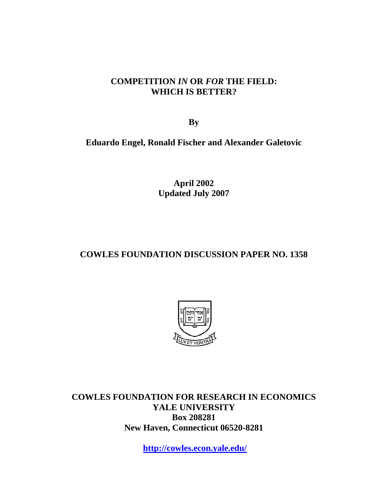### **COMPETITION** *IN* **OR** *FOR* **THE FIELD: WHICH IS BETTER?**

**By** 

**Eduardo Engel, Ronald Fischer and Alexander Galetovic** 

**April 2002 Updated July 2007** 

## **COWLES FOUNDATION DISCUSSION PAPER NO. 1358**



**COWLES FOUNDATION FOR RESEARCH IN ECONOMICS YALE UNIVERSITY Box 208281 New Haven, Connecticut 06520-8281** 

**http://cowles.econ.yale.edu/**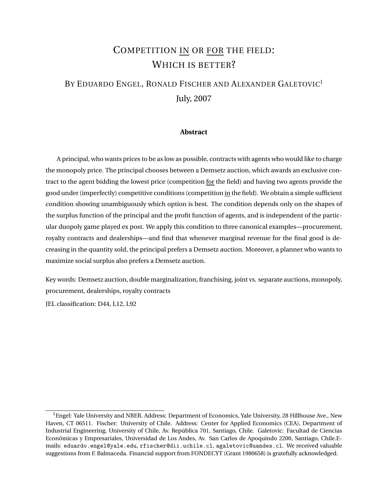# COMPETITION IN OR FOR THE FIELD: WHICH IS BETTER?

# BY EDUARDO ENGEL, RONALD FISCHER AND ALEXANDER GALETOVIC<sup>1</sup> July, 2007

#### **Abstract**

A principal, who wants prices to be as low as possible, contracts with agents who would like to charge the monopoly price. The principal chooses between a Demsetz auction, which awards an exclusive contract to the agent bidding the lowest price (competition for the field) and having two agents provide the good under (imperfectly) competitive conditions (competition in the field). We obtain a simple sufficient condition showing unambiguously which option is best. The condition depends only on the shapes of the surplus function of the principal and the profit function of agents, and is independent of the particular duopoly game played ex post. We apply this condition to three canonical examples—procurement, royalty contracts and dealerships—and find that whenever marginal revenue for the final good is decreasing in the quantity sold, the principal prefers a Demsetz auction. Moreover, a planner who wants to maximize social surplus also prefers a Demsetz auction.

Key words: Demsetz auction, double marginalization, franchising, joint vs. separate auctions, monopoly, procurement, dealerships, royalty contracts

JEL classification: D44, L12, L92

 $1$ Engel: Yale University and NBER. Address: Department of Economics, Yale University, 28 Hillhouse Ave., New Haven, CT 06511. Fischer: University of Chile. Address: Center for Applied Economics (CEA), Department of Industrial Engineering, University of Chile, Av. República 701, Santiago, Chile. Galetovic: Facultad de Ciencias Económicas y Empresariales, Universidad de Los Andes, Av. San Carlos de Apoquindo 2200, Santiago, Chile.Emails: eduardo.engel@yale.edu, rfischer@dii.uchile.cl, agaletovic@uandes.cl. We received valuable suggestions from F. Balmaceda. Financial support from FONDECYT (Grant 1980658) is gratefully acknowledged.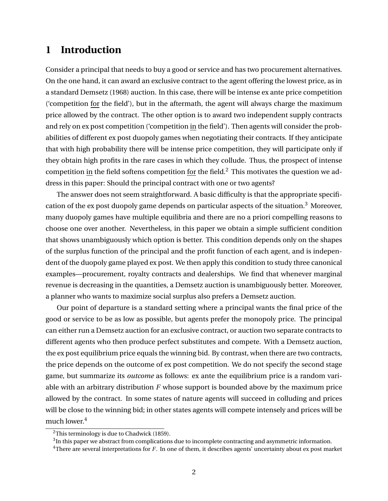## **1 Introduction**

Consider a principal that needs to buy a good or service and has two procurement alternatives. On the one hand, it can award an exclusive contract to the agent offering the lowest price, as in a standard Demsetz (1968) auction. In this case, there will be intense ex ante price competition ('competition for the field'), but in the aftermath, the agent will always charge the maximum price allowed by the contract. The other option is to award two independent supply contracts and rely on ex post competition ('competition in the field'). Then agents will consider the probabilities of different ex post duopoly games when negotiating their contracts. If they anticipate that with high probability there will be intense price competition, they will participate only if they obtain high profits in the rare cases in which they collude. Thus, the prospect of intense competition in the field softens competition for the field.<sup>2</sup> This motivates the question we address in this paper: Should the principal contract with one or two agents?

The answer does not seem straightforward. A basic difficulty is that the appropriate specification of the ex post duopoly game depends on particular aspects of the situation.<sup>3</sup> Moreover, many duopoly games have multiple equilibria and there are no a priori compelling reasons to choose one over another. Nevertheless, in this paper we obtain a simple sufficient condition that shows unambiguously which option is better. This condition depends only on the shapes of the surplus function of the principal and the profit function of each agent, and is independent of the duopoly game played ex post. We then apply this condition to study three canonical examples—procurement, royalty contracts and dealerships. We find that whenever marginal revenue is decreasing in the quantities, a Demsetz auction is unambiguously better. Moreover, a planner who wants to maximize social surplus also prefers a Demsetz auction.

Our point of departure is a standard setting where a principal wants the final price of the good or service to be as low as possible, but agents prefer the monopoly price. The principal can either run a Demsetz auction for an exclusive contract, or auction two separate contracts to different agents who then produce perfect substitutes and compete. With a Demsetz auction, the ex post equilibrium price equals the winning bid. By contrast, when there are two contracts, the price depends on the outcome of ex post competition. We do not specify the second stage game, but summarize its *outcome* as follows: ex ante the equilibrium price is a random variable with an arbitrary distribution *F* whose support is bounded above by the maximum price allowed by the contract. In some states of nature agents will succeed in colluding and prices will be close to the winning bid; in other states agents will compete intensely and prices will be much lower.<sup>4</sup>

 $2$ This terminology is due to Chadwick (1859).

 $^3$ In this paper we abstract from complications due to incomplete contracting and asymmetric information.

<sup>&</sup>lt;sup>4</sup>There are several interpretations for *F*. In one of them, it describes agents' uncertainty about ex post market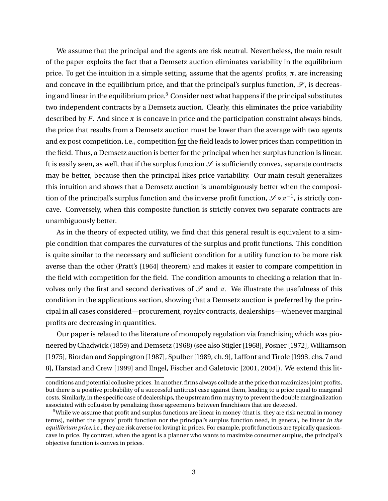We assume that the principal and the agents are risk neutral. Nevertheless, the main result of the paper exploits the fact that a Demsetz auction eliminates variability in the equilibrium price. To get the intuition in a simple setting, assume that the agents' profits,  $\pi$ , are increasing and concave in the equilibrium price, and that the principal's surplus function,  $\mathscr{S}$ , is decreasing and linear in the equilibrium price.<sup>5</sup> Consider next what happens if the principal substitutes two independent contracts by a Demsetz auction. Clearly, this eliminates the price variability described by *F*. And since  $\pi$  is concave in price and the participation constraint always binds, the price that results from a Demsetz auction must be lower than the average with two agents and ex post competition, i.e., competition for the field leads to lower prices than competition in the field. Thus, a Demsetz auction is better for the principal when her surplus function is linear. It is easily seen, as well, that if the surplus function  $\mathscr S$  is sufficiently convex, separate contracts may be better, because then the principal likes price variability. Our main result generalizes this intuition and shows that a Demsetz auction is unambiguously better when the composition of the principal's surplus function and the inverse profit function,  $\mathscr{S}\circ \pi^{-1}$ , is strictly concave. Conversely, when this composite function is strictly convex two separate contracts are unambiguously better.

As in the theory of expected utility, we find that this general result is equivalent to a simple condition that compares the curvatures of the surplus and profit functions. This condition is quite similar to the necessary and sufficient condition for a utility function to be more risk averse than the other (Pratt's [1964] theorem) and makes it easier to compare competition in the field with competition for the field. The condition amounts to checking a relation that involves only the first and second derivatives of  $\mathcal S$  and  $\pi$ . We illustrate the usefulness of this condition in the applications section, showing that a Demsetz auction is preferred by the principal in all cases considered—procurement, royalty contracts, dealerships—whenever marginal profits are decreasing in quantities.

Our paper is related to the literature of monopoly regulation via franchising which was pioneered by Chadwick (1859) and Demsetz (1968) (see also Stigler [1968], Posner [1972], Williamson [1975], Riordan and Sappington [1987], Spulber [1989, ch. 9], Laffont and Tirole [1993, chs. 7 and 8], Harstad and Crew [1999] and Engel, Fischer and Galetovic [2001, 2004]). We extend this lit-

conditions and potential collusive prices. In another, firms always collude at the price that maximizes joint profits, but there is a positive probability of a successful antitrust case against them, leading to a price equal to marginal costs. Similarly, in the specific case of dealerships, the upstream firm may try to prevent the double marginalization associated with collusion by penalizing those agreements between franchisors that are detected.

 $5$ While we assume that profit and surplus functions are linear in money (that is, they are risk neutral in money terms), neither the agents' profit function nor the principal's surplus function need, in general, be linear *in the equilibrium price*, i.e., they are risk averse (or loving) in prices. For example, profit functions are typically quasiconcave in price. By contrast, when the agent is a planner who wants to maximize consumer surplus, the principal's objective function is convex in prices.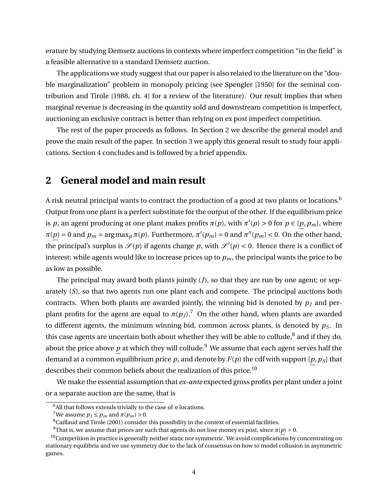erature by studying Demsetz auctions in contexts where imperfect competition "in the field" is a feasible alternative to a standard Demsetz auction.

The applications we study suggest that our paper is also related to the literature on the "double marginalization" problem in monopoly pricing (see Spengler [1950] for the seminal contribution and Tirole [1988, ch. 4] for a review of the literature). Our result implies that when marginal revenue is decreasing in the quantity sold and downstream competition is imperfect, auctioning an exclusive contract is better than relying on ex post imperfect competition.

The rest of the paper proceeds as follows. In Section 2 we describe the general model and prove the main result of the paper. In section 3 we apply this general result to study four applications. Section 4 concludes and is followed by a brief appendix.

### **2 General model and main result**

A risk neutral principal wants to contract the production of a good at two plants or locations.<sup>6</sup> Output from one plant is a perfect substitute for the output of the other. If the equilibrium price is *p*, an agent producing at one plant makes profits  $\pi(p)$ , with  $\pi'(p) > 0$  for  $p \in [p, p_m)$ , where  $\pi(p) = 0$  and  $p_m = \argmax_p \pi(p)$ . Furthermore,  $\pi'(p_m) = 0$  and  $\pi''(p_m) < 0$ . On the other hand, the principal's surplus is  $\mathscr{S}(p)$  if agents charge p, with  $\mathscr{S}'(p) < 0$ . Hence there is a conflict of interest: while agents would like to increase prices up to  $p<sub>m</sub>$ , the principal wants the price to be as low as possible.

The principal may award both plants jointly (*J*), so that they are run by one agent; or separately (*S*), so that two agents run one plant each and compete. The principal auctions both contracts. When both plants are awarded jointly, the winning bid is denoted by  $p_I$  and perplant profits for the agent are equal to  $\pi(p_I)$ .<sup>7</sup> On the other hand, when plants are awarded to different agents, the minimum winning bid, common across plants, is denoted by *pS*. In this case agents are uncertain both about whether they will be able to collude, $^8$  and if they do, about the price above  $p$  at which they will collude.<sup>9</sup> We assume that each agent serves half the demand at a common equilibrium price  $p$ , and denote by  $F(p)$  the cdf with support  $[p, p_S]$  that describes their common beliefs about the realization of this price.<sup>10</sup>

We make the essential assumption that *ex-ante* expected gross profits per plant under a joint or a separate auction are the same, that is

 $^6$  All that follows extends trivially to the case of  $\it n$  locations.

<sup>&</sup>lt;sup>7</sup>We assume  $p_I \leq p_m$  and  $\pi(p_m) > 0$ .

 ${}^{8}$ Caillaud and Tirole (2001) consider this possibility in the context of essential facilities.

<sup>&</sup>lt;sup>9</sup>That is, we assume that prices are such that agents do not lose money ex post, since  $\pi(p) = 0$ .

 $10$ Competition in practice is generally neither static nor symmetric. We avoid complications by concentrating on stationary equilibria and we use symmetry due to the lack of consensus on how to model collusion in asymmetric games.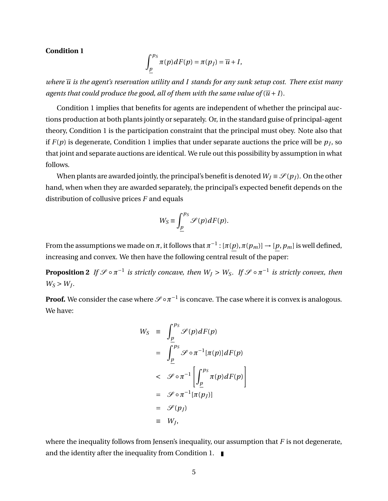#### **Condition 1**

$$
\int_{p}^{p_{S}} \pi(p) dF(p) = \pi(p_{J}) = \overline{u} + I,
$$

*where*  $\overline{u}$  *is the agent's reservation utility and I stands for any sunk setup cost. There exist many agents that could produce the good, all of them with the same value of*  $(\overline{u} + I)$ *.* 

Condition 1 implies that benefits for agents are independent of whether the principal auctions production at both plants jointly or separately. Or, in the standard guise of principal-agent theory, Condition 1 is the participation constraint that the principal must obey. Note also that if  $F(p)$  is degenerate, Condition 1 implies that under separate auctions the price will be  $p_J$ , so that joint and separate auctions are identical. We rule out this possibility by assumption in what follows.

When plants are awarded jointly, the principal's benefit is denoted  $W_J \equiv \mathcal{S}(p_J)$ . On the other hand, when when they are awarded separately, the principal's expected benefit depends on the distribution of collusive prices *F* and equals

$$
W_S \equiv \int_{\underline{p}}^{p_S} \mathcal{S}(p) dF(p).
$$

From the assumptions we made on  $\pi$ , it follows that  $\pi^{-1}$  : [ $\pi(p)$ ,  $\pi(p_m)] \to [p,p_m]$  is well defined, increasing and convex. We then have the following central result of the paper:

**Proposition 2** If  $\mathscr{S} \circ \pi^{-1}$  is strictly concave, then  $W_J > W_S$ . If  $\mathscr{S} \circ \pi^{-1}$  is strictly convex, then  $W_S > W_J$ .

**Proof.** We consider the case where  $\mathscr{S} \circ \pi^{-1}$  is concave. The case where it is convex is analogous. We have:

$$
W_S = \int_{\underline{p}}^{p_S} \mathcal{S}(p) dF(p)
$$
  
= 
$$
\int_{\underline{p}}^{p_S} \mathcal{S} \circ \pi^{-1} [\pi(p)] dF(p)
$$
  
< 
$$
\leq \mathcal{S} \circ \pi^{-1} \left[ \int_{\underline{p}}^{p_S} \pi(p) dF(p) \right]
$$
  
= 
$$
\mathcal{S} \circ \pi^{-1} [\pi(p_J)]
$$
  
= 
$$
\mathcal{S}(p_J)
$$
  
= 
$$
W_J,
$$

where the inequality follows from Jensen's inequality, our assumption that *F* is not degenerate, and the identity after the inequality from Condition 1.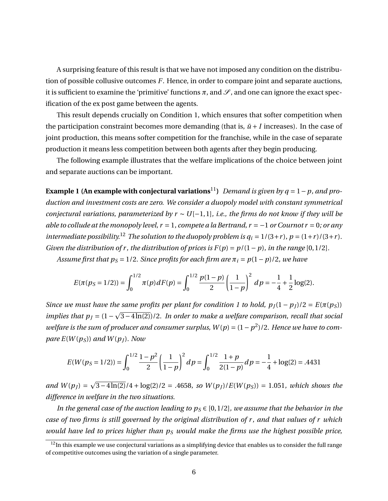A surprising feature of this result is that we have not imposed any condition on the distribution of possible collusive outcomes *F*. Hence, in order to compare joint and separate auctions, it is sufficient to examine the 'primitive' functions  $\pi$ , and  $\mathcal{S}$ , and one can ignore the exact specification of the ex post game between the agents.

This result depends crucially on Condition 1, which ensures that softer competition when the participation constraint becomes more demanding (that is,  $\bar{u}$  + *I* increases). In the case of joint production, this means softer competition for the franchise, while in the case of separate production it means less competition between both agents after they begin producing.

The following example illustrates that the welfare implications of the choice between joint and separate auctions can be important.

**Example 1 (An example with conjectural variations**<sup>11</sup>) *Demand is given by q* = 1 – *p, and production and investment costs are zero. We consider a duopoly model with constant symmetrical conjectural variations, parameterized by r* ∼ *U*[−1, 1]*, i.e., the firms do not know if they will be able to collude at the monopoly level, r* = 1*, compete a la Bertrand, r* = −1 *or Cournot r* = 0*; or any intermediate possibility.*<sup>12</sup> *The solution to the duopoly problem is*  $q_i = 1/(3+r)$ *,*  $p = (1+r)/(3+r)$ *. Given the distribution of r, the distribution of prices is*  $F(p) = p/(1-p)$ *, in the range* [0, 1/2]*.* 

*Assume first that*  $p_s = 1/2$ *. Since profits for each firm are*  $\pi_i = p(1-p)/2$ , we have

$$
E(\pi(p_S=1/2)) = \int_0^{1/2} \pi(p) dF(p) = \int_0^{1/2} \frac{p(1-p)}{2} \left(\frac{1}{1-p}\right)^2 dp = -\frac{1}{4} + \frac{1}{2}\log(2).
$$

*Since we must have the same profits per plant for condition 1 to hold,*  $p_J(1 - p_J)/2 = E(\pi(p_S))$ *implies that*  $p_j = (1 - \sqrt{3 - 4\ln(2)})/2$ *. In order to make a welfare comparison, recall that social welfare is the sum of producer and consumer surplus,*  $W(p) = (1 - p^2)/2$ *. Hence we have to compare*  $E(W(p_S))$  *and*  $W(p_I)$ *. Now* 

$$
E(W(p_S=1/2)) = \int_0^{1/2} \frac{1-p^2}{2} \left(\frac{1}{1-p}\right)^2 dp = \int_0^{1/2} \frac{1+p}{2(1-p)} dp = -\frac{1}{4} + \log(2) = .4431
$$

*and*  $W(p_j) =$ p  $\frac{3-4\ln(2)}{4}$ + log(2)/2 = .4658*,* so  $W(p_j)/E(W(p_S))$  = 1.051*, which shows the difference in welfare in the two situations.*

*In the general case of the auction leading to*  $p_s \in [0, 1/2]$ *, we assume that the behavior in the case of two firms is still governed by the original distribution of r , and that values of r which would have led to prices higher than p<sup>S</sup> would make the firms use the highest possible price,*

 $12$ In this example we use conjectural variations as a simplifying device that enables us to consider the full range of competitive outcomes using the variation of a single parameter.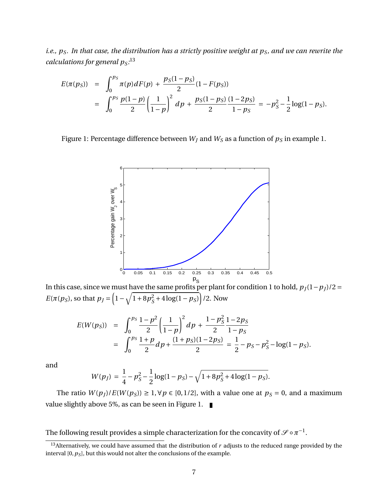*i.e., pS. In that case, the distribution has a strictly positive weight at pS, and we can rewrite the calculations for general pS:* 13

$$
E(\pi(p_S)) = \int_0^{p_S} \pi(p) dF(p) + \frac{p_S(1-p_S)}{2} (1 - F(p_S))
$$
  
= 
$$
\int_0^{p_S} \frac{p(1-p)}{2} \left(\frac{1}{1-p}\right)^2 dp + \frac{p_S(1-p_S)}{2} \frac{(1-2p_S)}{1-p_S} = -p_S^2 - \frac{1}{2} \log(1-p_S).
$$

Figure 1: Percentage difference between  $W_I$  and  $W_S$  as a function of  $p_S$  in example 1.



In this case, since we must have the same profits per plant for condition 1 to hold,  $p_J(1-p_J)/2 =$ *E*( $\pi(p_S)$ , so that  $p_J = \left(1 - \sqrt{1 + 8p_S^2}\right)$  $\frac{2}{s}$  + 4 log(1 – *p*<sub>S</sub>)</sub> $/2$ . Now

$$
E(W(p_S)) = \int_0^{p_S} \frac{1 - p^2}{2} \left(\frac{1}{1 - p}\right)^2 dp + \frac{1 - p_S^2}{2} \frac{1 - 2p_S}{1 - p_S}
$$
  
= 
$$
\int_0^{p_S} \frac{1 + p}{2} dp + \frac{(1 + p_S)(1 - 2p_S)}{2} = \frac{1}{2} - p_S - p_S^2 - \log(1 - p_S).
$$

and

$$
W(p_J) = \frac{1}{4} - p_S^2 - \frac{1}{2}\log(1 - p_S) - \sqrt{1 + 8p_S^2 + 4\log(1 - p_S)}.
$$

The ratio  $W(p_j)/E(W(p_S)) \ge 1, \forall p \in [0, 1/2]$ , with a value one at  $p_S = 0$ , and a maximum value slightly above 5%, as can be seen in Figure 1.

The following result provides a simple characterization for the concavity of  $\mathscr{S}\circ \pi^{-1}.$ 

<sup>&</sup>lt;sup>13</sup>Alternatively, we could have assumed that the distribution of  $r$  adjusts to the reduced range provided by the interval  $[0, p_S]$ , but this would not alter the conclusions of the example.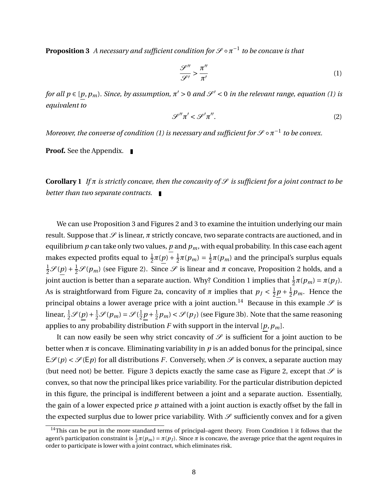**Proposition 3** A necessary and sufficient condition for S ∘  $\pi^{-1}$  to be concave is that

$$
\frac{\mathcal{S}''}{\mathcal{S}'} > \frac{\pi''}{\pi'}\tag{1}
$$

*for all*  $p \in [p, p_m)$ *. Since, by assumption,*  $\pi' > 0$  *and*  $\mathscr{S}' < 0$  *in the relevant range, equation (1) is equivalent to*

$$
\mathcal{S}''\pi' < \mathcal{S}'\pi''.\tag{2}
$$

*Moreover, the converse of condition (1) is necessary and sufficient for S*  $\circ$   $\pi^{-1}$  *to be convex.* 

**Proof.** See the Appendix.

**Corollary 1** *If*  $\pi$  *is strictly concave, then the concavity of*  $\mathcal{S}$  *is sufficient for a joint contract to be better than two separate contracts.*

We can use Proposition 3 and Figures 2 and 3 to examine the intuition underlying our main result. Suppose that  $\mathcal S$  is linear,  $\pi$  strictly concave, two separate contracts are auctioned, and in equilibrium  $p$  can take only two values,  $p$  and  $p_m$ , with equal probability. In this case each agent makes expected profits equal to  $\frac{1}{2}\pi(\underline{p}) + \frac{1}{2}$  $\frac{1}{2}\pi(p_m) = \frac{1}{2}$  $\frac{1}{2}\pi(p_m)$  and the principal's surplus equals  $\frac{1}{2}$  S<sup>(</sup> $\frac{p}{p}$ ) +  $\frac{1}{2}$  S( $p_m$ ) (see Figure 2). Since S is linear and π concave, Proposition 2 holds, and a joint auction is better than a separate auction. Why? Condition 1 implies that  $\frac{1}{2}\pi(p_m) = \pi(p_J)$ . As is straightforward from Figure 2a, concavity of  $\pi$  implies that  $p_J < \frac{1}{2}$  $\frac{1}{2}p + \frac{1}{2}$  $\frac{1}{2}p_m$ . Hence the principal obtains a lower average price with a joint auction.<sup>14</sup> Because in this example  $\mathscr S$  is linear,  $\frac{1}{2}\mathscr{S}(\underline{p}) + \frac{1}{2}\mathscr{S}(p_m) = \mathscr{S}(\frac{1}{2})$  $\frac{1}{2}p + \frac{1}{2}$  $\frac{1}{2}p_m$ ) <  $\mathscr{S}(p_J)$  (see Figure 3b). Note that the same reasoning applies to any probability distribution  $F$  with support in the interval  $[p, p_m]$ .

It can now easily be seen why strict concavity of  $\mathscr S$  is sufficient for a joint auction to be better when  $\pi$  is concave. Eliminating variability in  $p$  is an added bonus for the principal, since  $E\mathscr{S}(p) < \mathscr{S}(Ep)$  for all distributions *F*. Conversely, when  $\mathscr{S}$  is convex, a separate auction may (but need not) be better. Figure 3 depicts exactly the same case as Figure 2, except that  $\mathscr S$  is convex, so that now the principal likes price variability. For the particular distribution depicted in this figure, the principal is indifferent between a joint and a separate auction. Essentially, the gain of a lower expected price *p* attained with a joint auction is exactly offset by the fall in the expected surplus due to lower price variability. With  $\mathscr S$  sufficiently convex and for a given

<sup>&</sup>lt;sup>14</sup>This can be put in the more standard terms of principal–agent theory. From Condition 1 it follows that the agent's participation constraint is  $\frac{1}{2}\pi(p_m) = \pi(p_J)$ . Since  $\pi$  is concave, the average price that the agent requires in order to participate is lower with a joint contract, which eliminates risk.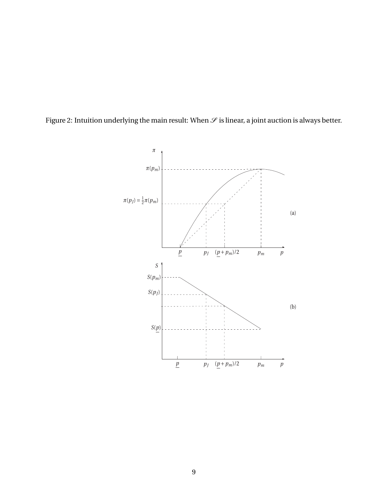

Figure 2: Intuition underlying the main result: When  $\mathcal S$  is linear, a joint auction is always better.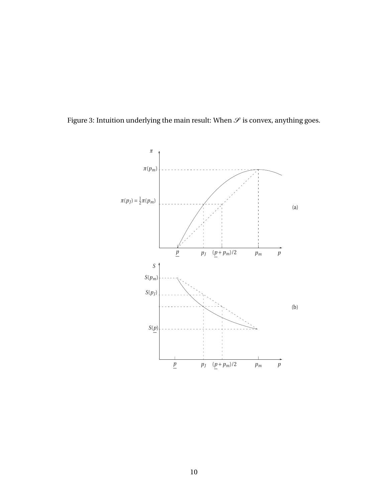

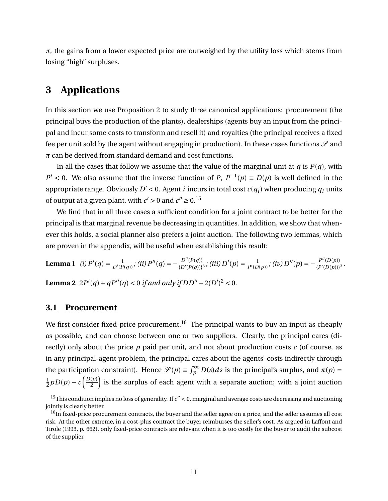$\pi$ , the gains from a lower expected price are outweighed by the utility loss which stems from losing "high" surpluses.

### **3 Applications**

In this section we use Proposition 2 to study three canonical applications: procurement (the principal buys the production of the plants), dealerships (agents buy an input from the principal and incur some costs to transform and resell it) and royalties (the principal receives a fixed fee per unit sold by the agent without engaging in production). In these cases functions  $\mathscr S$  and *π* can be derived from standard demand and cost functions.

In all the cases that follow we assume that the value of the marginal unit at  $q$  is  $P(q)$ , with  $P'$  < 0. We also assume that the inverse function of *P*,  $P^{-1}(p) \equiv D(p)$  is well defined in the appropriate range. Obviously  $D' < 0$ . Agent *i* incurs in total cost  $c(q_i)$  when producing  $q_i$  units of output at a given plant, with  $c' > 0$  and  $c'' \ge 0$ .<sup>15</sup>

We find that in all three cases a sufficient condition for a joint contract to be better for the principal is that marginal revenue be decreasing in quantities. In addition, we show that whenever this holds, a social planner also prefers a joint auction. The following two lemmas, which are proven in the appendix, will be useful when establishing this result:

**Lemma 1** (i) 
$$
P'(q) = \frac{1}{D'(P(q))}
$$
; (ii)  $P''(q) = -\frac{D''(P(q))}{\{D'(P(q))\}^3}$ ; (iii)  $D'(p) = \frac{1}{P'(D(p))}$ ; (iv)  $D''(p) = -\frac{P''(D(p))}{\{P'(D(p))\}^3}$ 

*.*

**Lemma 2**  $2P'(q) + qP''(q) < 0$  *if and only if*  $DD'' - 2(D')^2 < 0$ *.* 

#### **3.1 Procurement**

We first consider fixed-price procurement.<sup>16</sup> The principal wants to buy an input as cheaply as possible, and can choose between one or two suppliers. Clearly, the principal cares (directly) only about the price *p* paid per unit, and not about production costs *c* (of course, as in any principal-agent problem, the principal cares about the agents' costs indirectly through the participation constraint). Hence  $\mathscr{S}(p) \equiv \int_p^{\infty} D(s) ds$  is the principal's surplus, and  $\pi(p) =$ 1  $\frac{1}{2}pD(p) - c\left(\frac{D(p)}{2}\right)$ 2 ) is the surplus of each agent with a separate auction; with a joint auction

<sup>&</sup>lt;sup>15</sup>This condition implies no loss of generality. If  $c'' < 0$ , marginal and average costs are decreasing and auctioning jointly is clearly better.

<sup>&</sup>lt;sup>16</sup>In fixed-price procurement contracts, the buyer and the seller agree on a price, and the seller assumes all cost risk. At the other extreme, in a cost-plus contract the buyer reimburses the seller's cost. As argued in Laffont and Tirole (1993, p. 662), only fixed-price contracts are relevant when it is too costly for the buyer to audit the subcost of the supplier.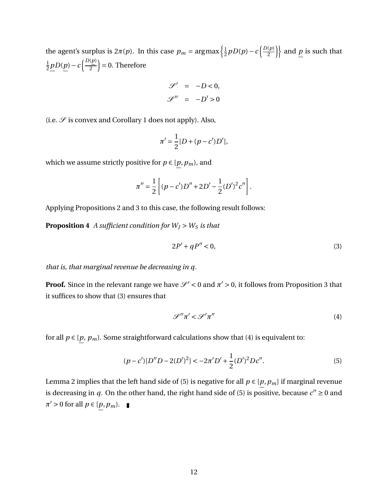the agent's surplus is  $2\pi(p)$ . In this case  $p_m = \argmax\left\{\frac{1}{2}\right\}$  $\frac{1}{2}pD(p)-c\left(\frac{D(p)}{2}\right)$  $\left\{\frac{(p)}{2}\right\}$  and  $\underline{p}$  is such that 1  $\frac{1}{2}pD(p)-c\left(\frac{D(p)}{2}\right)$ 2  $= 0$ . Therefore

$$
\mathcal{S}' = -D < 0,
$$
\n
$$
\mathcal{S}'' = -D' > 0
$$

(i.e.  $\mathscr S$  is convex and Corollary 1 does not apply). Also,

$$
\pi' = \frac{1}{2} [D + (p - c')D'],
$$

which we assume strictly positive for  $p \in [p, p_m)$ , and

$$
\pi'' = \frac{1}{2} \left[ (p - c')D'' + 2D' - \frac{1}{2} (D')^2 c'' \right].
$$

Applying Propositions 2 and 3 to this case, the following result follows:

**Proposition 4** *A sufficient condition for*  $W_J > W_S$  *is that* 

$$
2P' + qP'' < 0,\tag{3}
$$

*that is, that marginal revenue be decreasing in q.*

**Proof.** Since in the relevant range we have  $\mathcal{S}' < 0$  and  $\pi' > 0$ , it follows from Proposition 3 that it suffices to show that (3) ensures that

$$
\mathcal{S}''\pi' < \mathcal{S}'\pi'' \tag{4}
$$

for all  $p\in [p,\,p_m).$  Some straightforward calculations show that (4) is equivalent to:

$$
(p - c')[D''D - 2(D')^{2}] < -2\pi' D' + \frac{1}{2}(D')^{2} Dc''.
$$
\n(5)

Lemma 2 implies that the left hand side of (5) is negative for all  $p \in [p, p_m]$  if marginal revenue is decreasing in *q*. On the other hand, the right hand side of (5) is positive, because  $c'' \ge 0$  and  $\pi' > 0$  for all  $p \in [p, p_m)$ .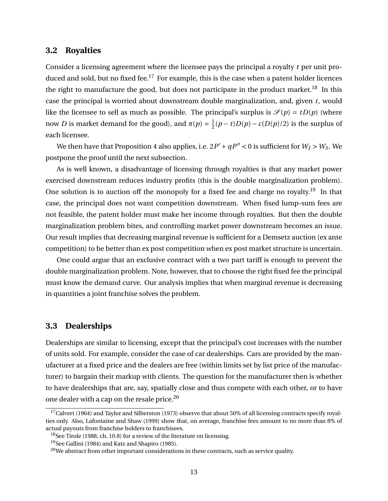#### **3.2 Royalties**

Consider a licensing agreement where the licensee pays the principal a royalty *t* per unit produced and sold, but no fixed fee.<sup>17</sup> For example, this is the case when a patent holder licences the right to manufacture the good, but does not participate in the product market.<sup>18</sup> In this case the principal is worried about downstream double marginalization, and, given *t*, would like the licensee to sell as much as possible. The principal's surplus is  $\mathcal{S}(p) = tD(p)$  (where now *D* is market demand for the good), and  $\pi(p) = \frac{1}{2}$  $\frac{1}{2}(p-t)D(p) - c(D(p)/2)$  is the surplus of each licensee.

We then have that Proposition 4 also applies, i.e.  $2P' + qP'' < 0$  is sufficient for  $W_J > W_S$ . We postpone the proof until the next subsection.

As is well known, a disadvantage of licensing through royalties is that any market power exercised downstream reduces industry profits (this is the double marginalization problem). One solution is to auction off the monopoly for a fixed fee and charge no royalty.<sup>19</sup> In that case, the principal does not want competition downstream. When fixed lump-sum fees are not feasible, the patent holder must make her income through royalties. But then the double marginalization problem bites, and controlling market power downstream becomes an issue. Our result implies that decreasing marginal revenue is sufficient for a Demsetz auction (ex ante competition) to be better than ex post competition when ex post market structure is uncertain.

One could argue that an exclusive contract with a two part tariff is enough to prevent the double marginalization problem. Note, however, that to choose the right fixed fee the principal must know the demand curve. Our analysis implies that when marginal revenue is decreasing in quantities a joint franchise solves the problem.

#### **3.3 Dealerships**

Dealerships are similar to licensing, except that the principal's cost increases with the number of units sold. For example, consider the case of car dealerships. Cars are provided by the manufacturer at a fixed price and the dealers are free (within limits set by list price of the manufacturer) to bargain their markup with clients. The question for the manufacturer then is whether to have dealerships that are, say, spatially close and thus compete with each other, or to have one dealer with a cap on the resale price.<sup>20</sup>

 $17$ Calvert (1964) and Taylor and Silberston (1973) observe that about 50% of all licensing contracts specify royalties only. Also, Lafontaine and Shaw (1999) show that, on average, franchise fees amount to no more than 8% of actual payouts from franchise holders to franchisees.

<sup>&</sup>lt;sup>18</sup>See Tirole (1988, ch. 10.8) for a review of the literature on licensing.

<sup>19</sup>See Gallini (1984) and Katz and Shapiro (1985).

 $20$ We abstract from other important considerations in these contracts, such as service quality.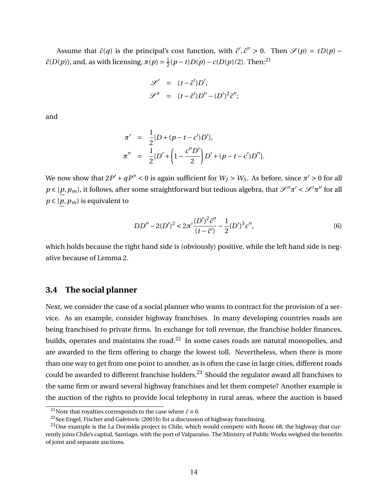Assume that  $\tilde{c}(q)$  is the principal's cost function, with  $\tilde{c}', \tilde{c}'' > 0$ . Then  $\mathcal{S}(p) = tD(p) - tD(p)$  $\tilde{c}(D(p))$ , and, as with licensing,  $\pi(p) = \frac{1}{2}$  $\frac{1}{2}(p-t)D(p) - c(D(p)/2)$ . Then:<sup>21</sup>

$$
\mathcal{S}' = (t - \tilde{c}')D',
$$
  

$$
\mathcal{S}'' = (t - \tilde{c}')D'' - (D')^2 \tilde{c}'';
$$

and

$$
\pi' = \frac{1}{2} [D + (p - t - c')D'],
$$
  
\n
$$
\pi'' = \frac{1}{2} [D' + (1 - \frac{c''D'}{2})D' + (p - t - c')D''].
$$

We now show that  $2P' + qP'' < 0$  is again sufficient for  $W_J > W_S$ . As before, since  $\pi' > 0$  for all  $p \in [p, p_m)$ , it follows, after some straightforward but tedious algebra, that  $\mathscr{S}''\pi' < \mathscr{S}'\pi''$  for all  $p \in [p, p_m)$  is equivalent to

$$
DD'' - 2(D')^{2} < 2\pi' \frac{(D')^{2} \tilde{c}''}{(t - \tilde{c}')^{2}} - \frac{1}{2} (D')^{3} c'',
$$
\n(6)

which holds because the right hand side is (obviously) positive, while the left hand side is negative because of Lemma 2.

#### **3.4 The social planner**

Next, we consider the case of a social planner who wants to contract for the provision of a service. As an example, consider highway franchises. In many developing countries roads are being franchised to private firms. In exchange for toll revenue, the franchise holder finances, builds, operates and maintains the road.<sup>22</sup> In some cases roads are natural monopolies, and are awarded to the firm offering to charge the lowest toll. Nevertheless, when there is more than one way to get from one point to another, as is often the case in large cities, different roads could be awarded to different franchise holders.<sup>23</sup> Should the regulator award all franchises to the same firm or award several highway franchises and let them compete? Another example is the auction of the rights to provide local telephony in rural areas, where the auction is based

<sup>&</sup>lt;sup>21</sup>Note that royalties corresponds to the case where  $\tilde{c} \equiv 0$ .

<sup>&</sup>lt;sup>22</sup>See Engel, Fischer and Galetovic (2001b) for a discussion of highway franchising.

<sup>&</sup>lt;sup>23</sup>One example is the La Dormida project in Chile, which would compete with Route 68, the highway that currently joins Chile's capital, Santiago, with the port of Valparaíso. The Ministry of Public Works weighed the benefits of joint and separate auctions.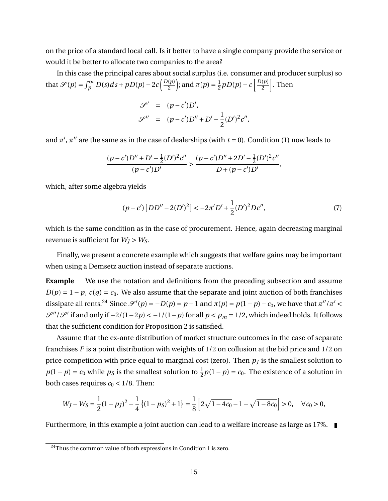on the price of a standard local call. Is it better to have a single company provide the service or would it be better to allocate two companies to the area?

In this case the principal cares about social surplus (i.e. consumer and producer surplus) so that  $\mathscr{S}(p) = \int_{p}^{\infty} D(s) ds + pD(p) - 2c \left( \frac{D(p)}{2} \right)$ 2 ); and  $\pi(p) = \frac{1}{2}$  $\frac{1}{2}pD(p)-c\left[\frac{D(p)}{2}\right]$ 2 i . Then

$$
\mathcal{S}' = (p - c')D', \n\mathcal{S}'' = (p - c')D'' + D' - \frac{1}{2}(D')^2c'',
$$

and  $\pi'$ ,  $\pi''$  are the same as in the case of dealerships (with  $t = 0$ ). Condition (1) now leads to

$$
\frac{(p-c')D''+D'-\frac{1}{2}(D')^2c''}{(p-c')D'}>\frac{(p-c')D''+2D'-\frac{1}{2}(D')^2c''}{D+(p-c')D'},
$$

which, after some algebra yields

$$
(p - c') [DD'' - 2(D')2] < -2\pi' D' + \frac{1}{2} (D')2 Dc'',
$$
\n(7)

which is the same condition as in the case of procurement. Hence, again decreasing marginal revenue is sufficient for  $W_I > W_S$ .

Finally, we present a concrete example which suggests that welfare gains may be important when using a Demsetz auction instead of separate auctions.

**Example** We use the notation and definitions from the preceding subsection and assume  $D(p) = 1 - p$ ,  $c(q) = c_0$ . We also assume that the separate and joint auction of both franchises dissipate all rents.<sup>24</sup> Since  $\mathscr{S}'(p) = -D(p) = p - 1$  and  $\pi(p) = p(1 - p) - c_0$ , we have that  $\pi''/\pi' <$  $\mathscr{S}''/\mathscr{S}'$  if and only if  $-2/(1-2p) < -1/(1-p)$  for all  $p < p_m = 1/2$ , which indeed holds. It follows that the sufficient condition for Proposition 2 is satisfied.

Assume that the ex-ante distribution of market structure outcomes in the case of separate franchises *F* is a point distribution with weights of 1/2 on collusion at the bid price and 1/2 on price competition with price equal to marginal cost (zero). Then  $p_f$  is the smallest solution to  $p(1-p) = c_0$  while  $p_S$  is the smallest solution to  $\frac{1}{2}p(1-p) = c_0$ . The existence of a solution in both cases requires  $c_0 < 1/8$ . Then:

$$
W_J - W_S = \frac{1}{2}(1 - p_J)^2 - \frac{1}{4}\left\{(1 - p_S)^2 + 1\right\} = \frac{1}{8}\left[2\sqrt{1 - 4c_0} - 1 - \sqrt{1 - 8c_0}\right] > 0, \quad \forall c_0 > 0,
$$

Furthermore, in this example a joint auction can lead to a welfare increase as large as 17%.

 $\frac{24}{100}$  Thus the common value of both expressions in Condition 1 is zero.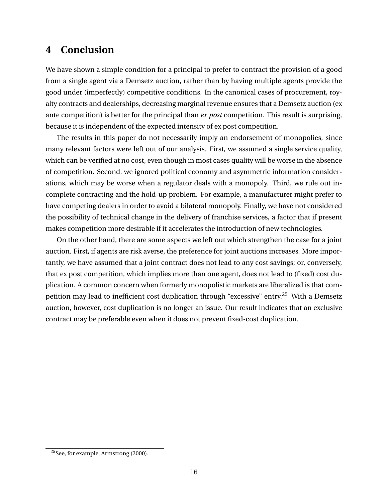## **4 Conclusion**

We have shown a simple condition for a principal to prefer to contract the provision of a good from a single agent via a Demsetz auction, rather than by having multiple agents provide the good under (imperfectly) competitive conditions. In the canonical cases of procurement, royalty contracts and dealerships, decreasing marginal revenue ensures that a Demsetz auction (ex ante competition) is better for the principal than *ex post* competition. This result is surprising, because it is independent of the expected intensity of ex post competition.

The results in this paper do not necessarily imply an endorsement of monopolies, since many relevant factors were left out of our analysis. First, we assumed a single service quality, which can be verified at no cost, even though in most cases quality will be worse in the absence of competition. Second, we ignored political economy and asymmetric information considerations, which may be worse when a regulator deals with a monopoly. Third, we rule out incomplete contracting and the hold-up problem. For example, a manufacturer might prefer to have competing dealers in order to avoid a bilateral monopoly. Finally, we have not considered the possibility of technical change in the delivery of franchise services, a factor that if present makes competition more desirable if it accelerates the introduction of new technologies.

On the other hand, there are some aspects we left out which strengthen the case for a joint auction. First, if agents are risk averse, the preference for joint auctions increases. More importantly, we have assumed that a joint contract does not lead to any cost savings; or, conversely, that ex post competition, which implies more than one agent, does not lead to (fixed) cost duplication. A common concern when formerly monopolistic markets are liberalized is that competition may lead to inefficient cost duplication through "excessive" entry.<sup>25</sup> With a Demsetz auction, however, cost duplication is no longer an issue. Our result indicates that an exclusive contract may be preferable even when it does not prevent fixed-cost duplication.

<sup>25</sup>See, for example, Armstrong (2000).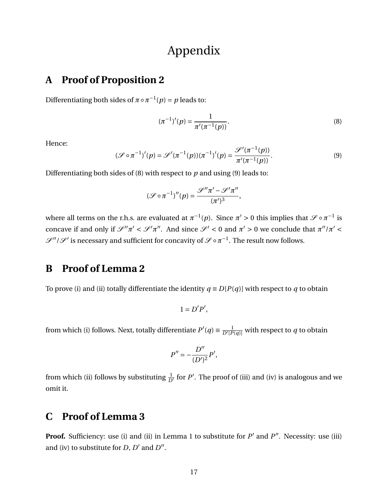# Appendix

### **A Proof of Proposition 2**

Differentiating both sides of  $\pi \circ \pi^{-1}(p) = p$  leads to:

$$
(\pi^{-1})'(p) = \frac{1}{\pi'(\pi^{-1}(p))}.
$$
\n(8)

Hence:

$$
(\mathcal{S} \circ \pi^{-1})'(p) = \mathcal{S}'(\pi^{-1}(p))(\pi^{-1})'(p) = \frac{\mathcal{S}'(\pi^{-1}(p))}{\pi'(\pi^{-1}(p))}.
$$
\n(9)

Differentiating both sides of (8) with respect to *p* and using (9) leads to:

$$
(\mathcal{S} \circ \pi^{-1})''(p) = \frac{\mathcal{S}''\pi' - \mathcal{S}'\pi''}{(\pi')^3},
$$

where all terms on the r.h.s. are evaluated at  $\pi^{-1}(p)$ . Since  $\pi' > 0$  this implies that  $\mathscr{S} \circ \pi^{-1}$  is concave if and only if  $\mathscr{S}''\pi' < \mathscr{S}'\pi''$ . And since  $\mathscr{S}' < 0$  and  $\pi' > 0$  we conclude that  $\pi''/\pi' <$  $\mathscr{S}''/\mathscr{S}'$  is necessary and sufficient for concavity of  $\mathscr{S}\circ\pi^{-1}.$  The result now follows.

## **B Proof of Lemma 2**

To prove (i) and (ii) totally differentiate the identity  $q \equiv D[P(q)]$  with respect to *q* to obtain

$$
1=D'P',
$$

from which (i) follows. Next, totally differentiate  $P'(q) \equiv \frac{1}{D'[P(q)]}$  with respect to *q* to obtain

$$
P'' = -\frac{D''}{(D')^2}P',
$$

from which (ii) follows by substituting  $\frac{1}{D'}$  for  $P'.$  The proof of (iii) and (iv) is analogous and we omit it.

## **C Proof of Lemma 3**

**Proof.** Sufficiency: use (i) and (ii) in Lemma 1 to substitute for  $P'$  and  $P''$ . Necessity: use (iii) and (iv) to substitute for  $D$ ,  $D'$  and  $D''$ .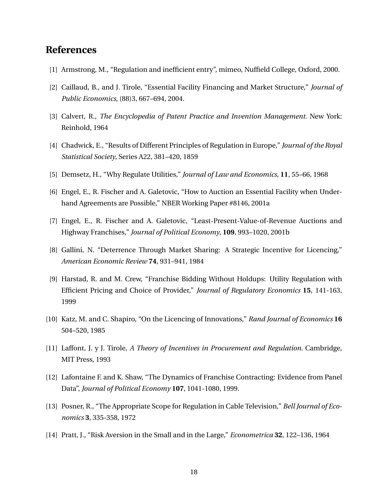### **References**

- [1] Armstrong, M., "Regulation and inefficient entry", mimeo, Nuffield College, Oxford, 2000.
- [2] Caillaud, B., and J. Tirole, "Essential Facility Financing and Market Structure," *Journal of Public Economics*, (88)3, 667–694, 2004.
- [3] Calvert, R., *The Encyclopedia of Patent Practice and Invention Management*. New York: Reinhold, 1964
- [4] Chadwick, E., "Results of Different Principles of Regulation in Europe," *Journal of the Royal Statistical Society*, Series A22, 381–420, 1859
- [5] Demsetz, H., "Why Regulate Utilities," *Journal of Law and Economics*, **11**, 55–66, 1968
- [6] Engel, E., R. Fischer and A. Galetovic, "How to Auction an Essential Facility when Underhand Agreements are Possible," NBER Working Paper #8146, 2001a
- [7] Engel, E., R. Fischer and A. Galetovic, "Least-Present-Value-of-Revenue Auctions and Highway Franchises," *Journal of Political Economy*, **109**, 993–1020, 2001b
- [8] Gallini, N. "Deterrence Through Market Sharing: A Strategic Incentive for Licencing," *American Economic Review* **74**, 931–941, 1984
- [9] Harstad, R. and M. Crew, "Franchise Bidding Without Holdups: Utility Regulation with Efficient Pricing and Choice of Provider," *Journal of Regulatory Economics* **15**, 141-163, 1999
- [10] Katz, M. and C. Shapiro, "On the Licencing of Innovations," *Rand Journal of Economics* **16** 504–520, 1985
- [11] Laffont, J. y J. Tirole, *A Theory of Incentives in Procurement and Regulation*. Cambridge, MIT Press, 1993
- [12] Lafontaine F. and K. Shaw, "The Dynamics of Franchise Contracting: Evidence from Panel Data", *Journal of Political Economy* **107**, 1041-1080, 1999.
- [13] Posner, R., "The Appropriate Scope for Regulation in Cable Television," *Bell Journal of Economics* **3**, 335-358, 1972
- [14] Pratt, J., "Risk Aversion in the Small and in the Large," *Econometrica* **32**, 122–136, 1964